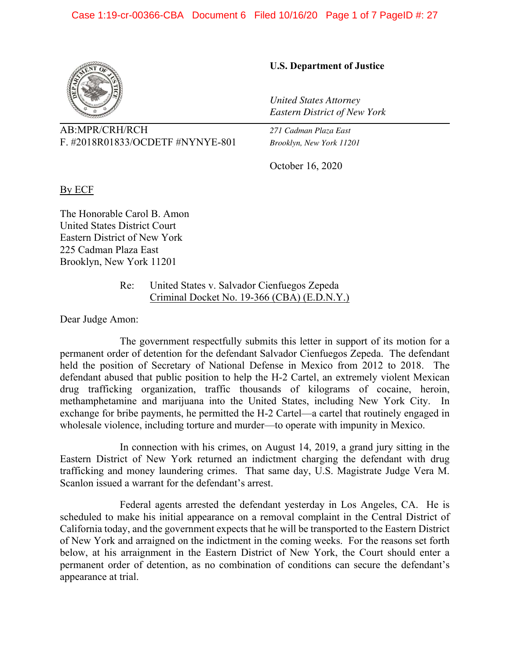

AB:MPR/CRH/RCH *271 Cadman Plaza East* F. #2018R01833/OCDETF #NYNYE-801 *Brooklyn, New York 11201* 

# **U.S. Department of Justice**

*United States Attorney Eastern District of New York*

October 16, 2020

By ECF

The Honorable Carol B. Amon United States District Court Eastern District of New York 225 Cadman Plaza East Brooklyn, New York 11201

> Re: United States v. Salvador Cienfuegos Zepeda Criminal Docket No. 19-366 (CBA) (E.D.N.Y.)

Dear Judge Amon:

 The government respectfully submits this letter in support of its motion for a permanent order of detention for the defendant Salvador Cienfuegos Zepeda. The defendant held the position of Secretary of National Defense in Mexico from 2012 to 2018. The defendant abused that public position to help the H-2 Cartel, an extremely violent Mexican drug trafficking organization, traffic thousands of kilograms of cocaine, heroin, methamphetamine and marijuana into the United States, including New York City. In exchange for bribe payments, he permitted the H-2 Cartel—a cartel that routinely engaged in wholesale violence, including torture and murder—to operate with impunity in Mexico.

 In connection with his crimes, on August 14, 2019, a grand jury sitting in the Eastern District of New York returned an indictment charging the defendant with drug trafficking and money laundering crimes. That same day, U.S. Magistrate Judge Vera M. Scanlon issued a warrant for the defendant's arrest.

 Federal agents arrested the defendant yesterday in Los Angeles, CA. He is scheduled to make his initial appearance on a removal complaint in the Central District of California today, and the government expects that he will be transported to the Eastern District of New York and arraigned on the indictment in the coming weeks. For the reasons set forth below, at his arraignment in the Eastern District of New York, the Court should enter a permanent order of detention, as no combination of conditions can secure the defendant's appearance at trial.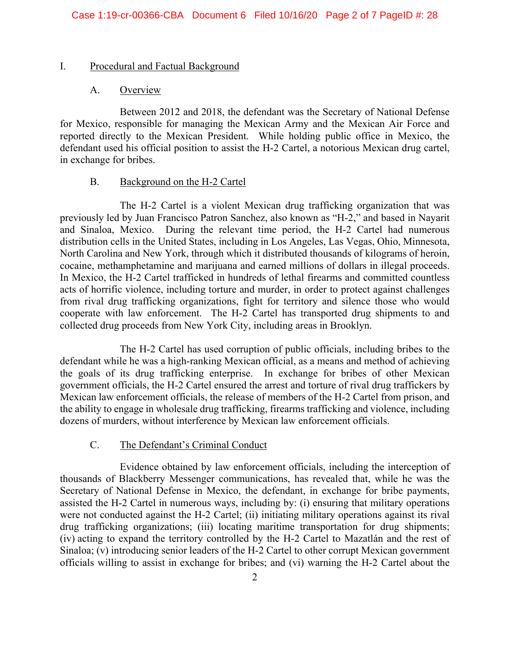# I. Procedural and Factual Background

# A. Overview

Between 2012 and 2018, the defendant was the Secretary of National Defense for Mexico, responsible for managing the Mexican Army and the Mexican Air Force and reported directly to the Mexican President. While holding public office in Mexico, the defendant used his official position to assist the H-2 Cartel, a notorious Mexican drug cartel, in exchange for bribes.

# B. Background on the H-2 Cartel

The H-2 Cartel is a violent Mexican drug trafficking organization that was previously led by Juan Francisco Patron Sanchez, also known as "H-2," and based in Nayarit and Sinaloa, Mexico. During the relevant time period, the H-2 Cartel had numerous distribution cells in the United States, including in Los Angeles, Las Vegas, Ohio, Minnesota, North Carolina and New York, through which it distributed thousands of kilograms of heroin, cocaine, methamphetamine and marijuana and earned millions of dollars in illegal proceeds. In Mexico, the H-2 Cartel trafficked in hundreds of lethal firearms and committed countless acts of horrific violence, including torture and murder, in order to protect against challenges from rival drug trafficking organizations, fight for territory and silence those who would cooperate with law enforcement. The H-2 Cartel has transported drug shipments to and collected drug proceeds from New York City, including areas in Brooklyn.

The H-2 Cartel has used corruption of public officials, including bribes to the defendant while he was a high-ranking Mexican official, as a means and method of achieving the goals of its drug trafficking enterprise. In exchange for bribes of other Mexican government officials, the H-2 Cartel ensured the arrest and torture of rival drug traffickers by Mexican law enforcement officials, the release of members of the H-2 Cartel from prison, and the ability to engage in wholesale drug trafficking, firearms trafficking and violence, including dozens of murders, without interference by Mexican law enforcement officials.

# C. The Defendant's Criminal Conduct

Evidence obtained by law enforcement officials, including the interception of thousands of Blackberry Messenger communications, has revealed that, while he was the Secretary of National Defense in Mexico, the defendant, in exchange for bribe payments, assisted the H-2 Cartel in numerous ways, including by: (i) ensuring that military operations were not conducted against the H-2 Cartel; (ii) initiating military operations against its rival drug trafficking organizations; (iii) locating maritime transportation for drug shipments; (iv) acting to expand the territory controlled by the H-2 Cartel to Mazatlán and the rest of Sinaloa; (v) introducing senior leaders of the H-2 Cartel to other corrupt Mexican government officials willing to assist in exchange for bribes; and (vi) warning the H-2 Cartel about the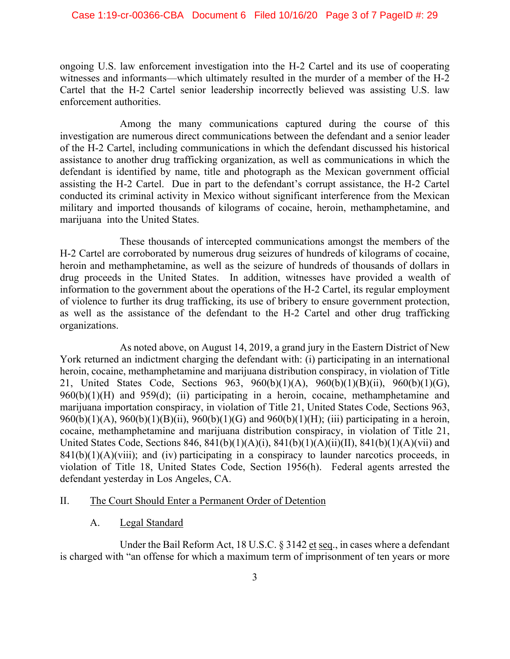#### Case 1:19-cr-00366-CBA Document 6 Filed 10/16/20 Page 3 of 7 PageID #: 29

ongoing U.S. law enforcement investigation into the H-2 Cartel and its use of cooperating witnesses and informants—which ultimately resulted in the murder of a member of the H-2 Cartel that the H-2 Cartel senior leadership incorrectly believed was assisting U.S. law enforcement authorities.

Among the many communications captured during the course of this investigation are numerous direct communications between the defendant and a senior leader of the H-2 Cartel, including communications in which the defendant discussed his historical assistance to another drug trafficking organization, as well as communications in which the defendant is identified by name, title and photograph as the Mexican government official assisting the H-2 Cartel. Due in part to the defendant's corrupt assistance, the H-2 Cartel conducted its criminal activity in Mexico without significant interference from the Mexican military and imported thousands of kilograms of cocaine, heroin, methamphetamine, and marijuana into the United States.

These thousands of intercepted communications amongst the members of the H-2 Cartel are corroborated by numerous drug seizures of hundreds of kilograms of cocaine, heroin and methamphetamine, as well as the seizure of hundreds of thousands of dollars in drug proceeds in the United States. In addition, witnesses have provided a wealth of information to the government about the operations of the H-2 Cartel, its regular employment of violence to further its drug trafficking, its use of bribery to ensure government protection, as well as the assistance of the defendant to the H-2 Cartel and other drug trafficking organizations.

As noted above, on August 14, 2019, a grand jury in the Eastern District of New York returned an indictment charging the defendant with: (i) participating in an international heroin, cocaine, methamphetamine and marijuana distribution conspiracy, in violation of Title 21, United States Code, Sections 963, 960(b)(1)(A), 960(b)(1)(B)(ii), 960(b)(1)(G),  $960(b)(1)(H)$  and  $959(d)$ ; (ii) participating in a heroin, cocaine, methamphetamine and marijuana importation conspiracy, in violation of Title 21, United States Code, Sections 963, 960(b)(1)(A), 960(b)(1)(B)(ii), 960(b)(1)(G) and 960(b)(1)(H); (iii) participating in a heroin, cocaine, methamphetamine and marijuana distribution conspiracy, in violation of Title 21, United States Code, Sections 846, 841(b)(1)(A)(i), 841(b)(1)(A)(ii)(II), 841(b)(1)(A)(vii) and  $841(b)(1)(A)(viii)$ ; and (iv) participating in a conspiracy to launder narcotics proceeds, in violation of Title 18, United States Code, Section 1956(h). Federal agents arrested the defendant yesterday in Los Angeles, CA.

# II. The Court Should Enter a Permanent Order of Detention

A. Legal Standard

Under the Bail Reform Act, 18 U.S.C. § 3142 et seq., in cases where a defendant is charged with "an offense for which a maximum term of imprisonment of ten years or more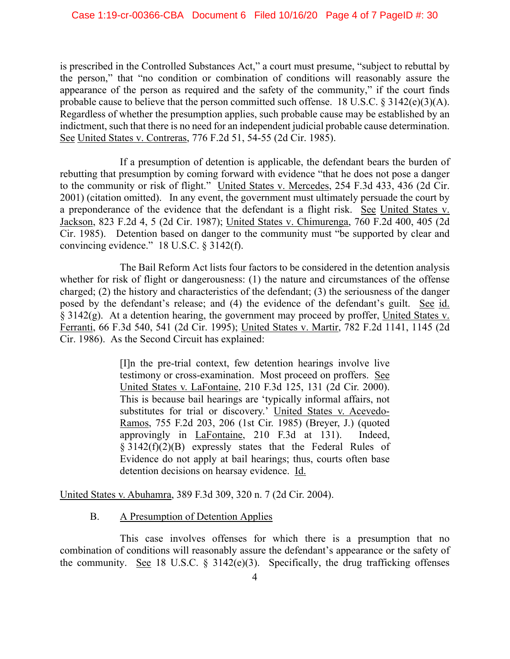is prescribed in the Controlled Substances Act," a court must presume, "subject to rebuttal by the person," that "no condition or combination of conditions will reasonably assure the appearance of the person as required and the safety of the community," if the court finds probable cause to believe that the person committed such offense. 18 U.S.C.  $\S 3142(e)(3)(A)$ . Regardless of whether the presumption applies, such probable cause may be established by an indictment, such that there is no need for an independent judicial probable cause determination. See United States v. Contreras, 776 F.2d 51, 54-55 (2d Cir. 1985).

If a presumption of detention is applicable, the defendant bears the burden of rebutting that presumption by coming forward with evidence "that he does not pose a danger to the community or risk of flight." United States v. Mercedes, 254 F.3d 433, 436 (2d Cir. 2001) (citation omitted). In any event, the government must ultimately persuade the court by a preponderance of the evidence that the defendant is a flight risk. See United States v. Jackson, 823 F.2d 4, 5 (2d Cir. 1987); United States v. Chimurenga, 760 F.2d 400, 405 (2d Cir. 1985). Detention based on danger to the community must "be supported by clear and convincing evidence." 18 U.S.C. § 3142(f).

The Bail Reform Act lists four factors to be considered in the detention analysis whether for risk of flight or dangerousness: (1) the nature and circumstances of the offense charged; (2) the history and characteristics of the defendant; (3) the seriousness of the danger posed by the defendant's release; and (4) the evidence of the defendant's guilt. See id. § 3142(g). At a detention hearing, the government may proceed by proffer, United States v. Ferranti, 66 F.3d 540, 541 (2d Cir. 1995); United States v. Martir, 782 F.2d 1141, 1145 (2d Cir. 1986). As the Second Circuit has explained:

> [I]n the pre-trial context, few detention hearings involve live testimony or cross-examination. Most proceed on proffers. See United States v. LaFontaine, 210 F.3d 125, 131 (2d Cir. 2000). This is because bail hearings are 'typically informal affairs, not substitutes for trial or discovery.' United States v. Acevedo-Ramos, 755 F.2d 203, 206 (1st Cir. 1985) (Breyer, J.) (quoted approvingly in LaFontaine, 210 F.3d at 131). Indeed, § 3142(f)(2)(B) expressly states that the Federal Rules of Evidence do not apply at bail hearings; thus, courts often base detention decisions on hearsay evidence. Id.

United States v. Abuhamra, 389 F.3d 309, 320 n. 7 (2d Cir. 2004).

# B. A Presumption of Detention Applies

This case involves offenses for which there is a presumption that no combination of conditions will reasonably assure the defendant's appearance or the safety of the community. See 18 U.S.C.  $\S$  3142(e)(3). Specifically, the drug trafficking offenses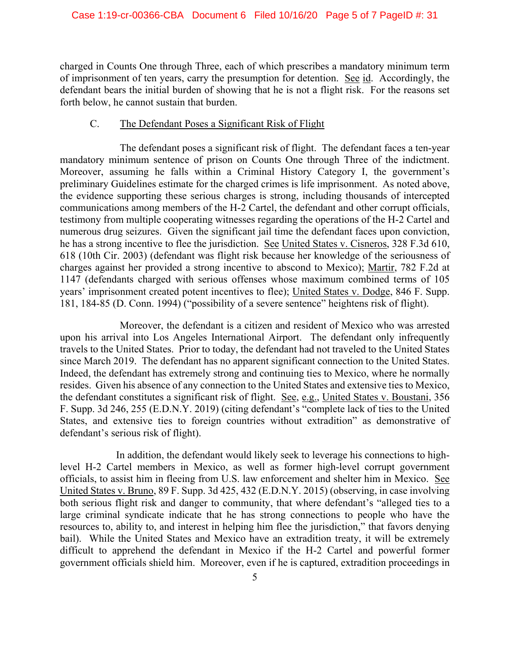charged in Counts One through Three, each of which prescribes a mandatory minimum term of imprisonment of ten years, carry the presumption for detention. See id. Accordingly, the defendant bears the initial burden of showing that he is not a flight risk. For the reasons set forth below, he cannot sustain that burden.

# C. The Defendant Poses a Significant Risk of Flight

The defendant poses a significant risk of flight. The defendant faces a ten-year mandatory minimum sentence of prison on Counts One through Three of the indictment. Moreover, assuming he falls within a Criminal History Category I, the government's preliminary Guidelines estimate for the charged crimes is life imprisonment. As noted above, the evidence supporting these serious charges is strong, including thousands of intercepted communications among members of the H-2 Cartel, the defendant and other corrupt officials, testimony from multiple cooperating witnesses regarding the operations of the H-2 Cartel and numerous drug seizures. Given the significant jail time the defendant faces upon conviction, he has a strong incentive to flee the jurisdiction. See United States v. Cisneros, 328 F.3d 610, 618 (10th Cir. 2003) (defendant was flight risk because her knowledge of the seriousness of charges against her provided a strong incentive to abscond to Mexico); Martir, 782 F.2d at 1147 (defendants charged with serious offenses whose maximum combined terms of 105 years' imprisonment created potent incentives to flee); United States v. Dodge, 846 F. Supp. 181, 184-85 (D. Conn. 1994) ("possibility of a severe sentence" heightens risk of flight).

Moreover, the defendant is a citizen and resident of Mexico who was arrested upon his arrival into Los Angeles International Airport. The defendant only infrequently travels to the United States. Prior to today, the defendant had not traveled to the United States since March 2019. The defendant has no apparent significant connection to the United States. Indeed, the defendant has extremely strong and continuing ties to Mexico, where he normally resides. Given his absence of any connection to the United States and extensive ties to Mexico, the defendant constitutes a significant risk of flight. See, e.g., United States v. Boustani, 356 F. Supp. 3d 246, 255 (E.D.N.Y. 2019) (citing defendant's "complete lack of ties to the United States, and extensive ties to foreign countries without extradition" as demonstrative of defendant's serious risk of flight).

In addition, the defendant would likely seek to leverage his connections to highlevel H-2 Cartel members in Mexico, as well as former high-level corrupt government officials, to assist him in fleeing from U.S. law enforcement and shelter him in Mexico. See United States v. Bruno, 89 F. Supp. 3d 425, 432 (E.D.N.Y. 2015) (observing, in case involving both serious flight risk and danger to community, that where defendant's "alleged ties to a large criminal syndicate indicate that he has strong connections to people who have the resources to, ability to, and interest in helping him flee the jurisdiction," that favors denying bail). While the United States and Mexico have an extradition treaty, it will be extremely difficult to apprehend the defendant in Mexico if the H-2 Cartel and powerful former government officials shield him. Moreover, even if he is captured, extradition proceedings in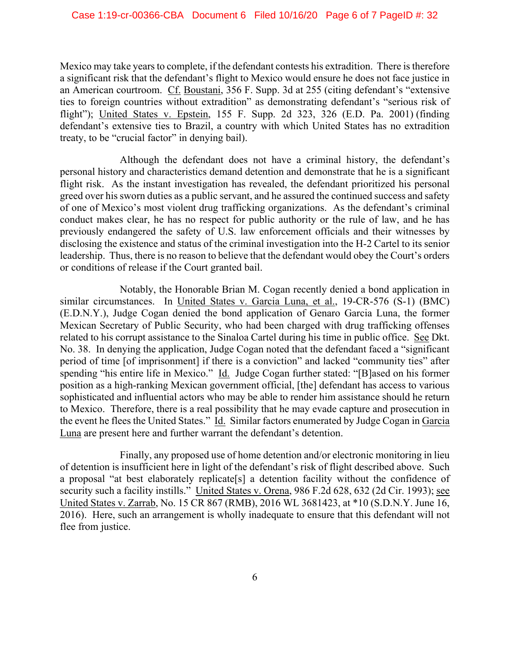Mexico may take years to complete, if the defendant contests his extradition. There is therefore a significant risk that the defendant's flight to Mexico would ensure he does not face justice in an American courtroom. Cf. Boustani, 356 F. Supp. 3d at 255 (citing defendant's "extensive ties to foreign countries without extradition" as demonstrating defendant's "serious risk of flight"); United States v. Epstein, 155 F. Supp. 2d 323, 326 (E.D. Pa. 2001) (finding defendant's extensive ties to Brazil, a country with which United States has no extradition treaty, to be "crucial factor" in denying bail).

Although the defendant does not have a criminal history, the defendant's personal history and characteristics demand detention and demonstrate that he is a significant flight risk. As the instant investigation has revealed, the defendant prioritized his personal greed over his sworn duties as a public servant, and he assured the continued success and safety of one of Mexico's most violent drug trafficking organizations. As the defendant's criminal conduct makes clear, he has no respect for public authority or the rule of law, and he has previously endangered the safety of U.S. law enforcement officials and their witnesses by disclosing the existence and status of the criminal investigation into the H-2 Cartel to its senior leadership. Thus, there is no reason to believe that the defendant would obey the Court's orders or conditions of release if the Court granted bail.

Notably, the Honorable Brian M. Cogan recently denied a bond application in similar circumstances. In United States v. Garcia Luna, et al., 19-CR-576 (S-1) (BMC) (E.D.N.Y.), Judge Cogan denied the bond application of Genaro Garcia Luna, the former Mexican Secretary of Public Security, who had been charged with drug trafficking offenses related to his corrupt assistance to the Sinaloa Cartel during his time in public office. See Dkt. No. 38. In denying the application, Judge Cogan noted that the defendant faced a "significant period of time [of imprisonment] if there is a conviction" and lacked "community ties" after spending "his entire life in Mexico." Id. Judge Cogan further stated: "[B]ased on his former position as a high-ranking Mexican government official, [the] defendant has access to various sophisticated and influential actors who may be able to render him assistance should he return to Mexico. Therefore, there is a real possibility that he may evade capture and prosecution in the event he flees the United States." Id. Similar factors enumerated by Judge Cogan in Garcia Luna are present here and further warrant the defendant's detention.

Finally, any proposed use of home detention and/or electronic monitoring in lieu of detention is insufficient here in light of the defendant's risk of flight described above. Such a proposal "at best elaborately replicate[s] a detention facility without the confidence of security such a facility instills." United States v. Orena, 986 F.2d 628, 632 (2d Cir. 1993); see United States v. Zarrab, No. 15 CR 867 (RMB), 2016 WL 3681423, at \*10 (S.D.N.Y. June 16, 2016). Here, such an arrangement is wholly inadequate to ensure that this defendant will not flee from justice.